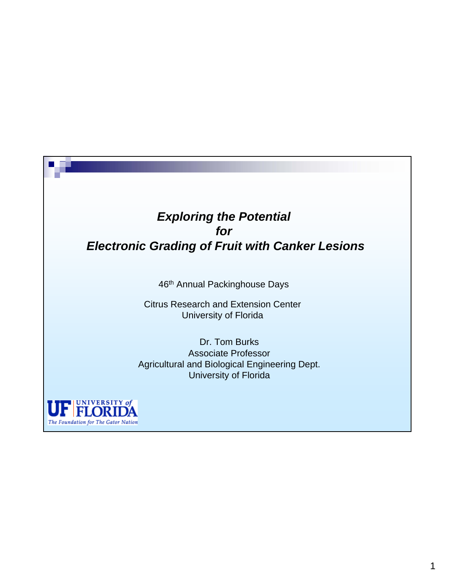#### *Exploring the Potential for Electronic Grading of Fruit with Canker Lesions*

46th Annual Packinghouse Days

Citrus Research and Extension Center University of Florida

Dr. Tom Burks Associate Professor Agricultural and Biological Engineering Dept. University of Florida

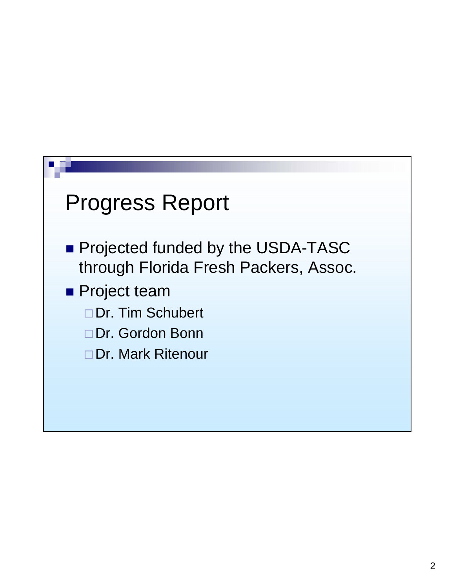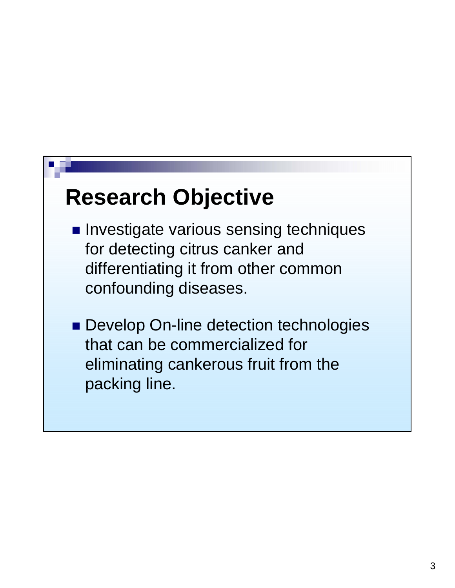# **Research Objective**

- **Investigate various sensing techniques** for detecting citrus canker and differentiating it from other common confounding diseases.
- **Develop On-line detection technologies** that can be commercialized for eliminating cankerous fruit from the packing line.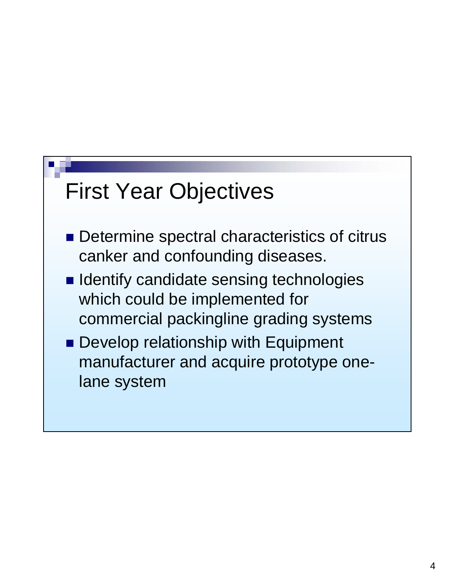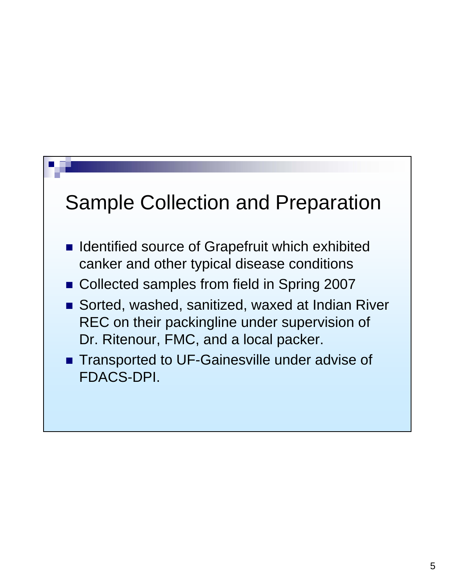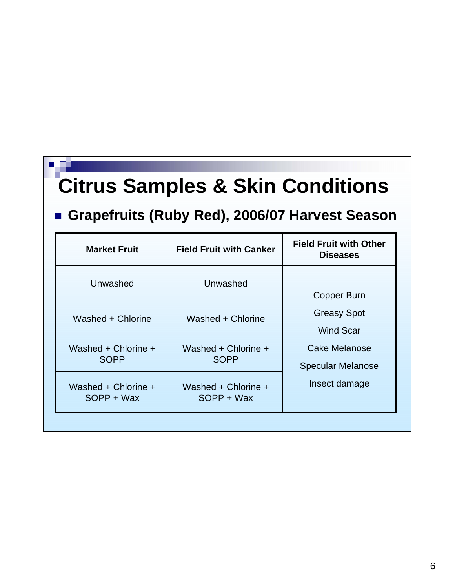## **Citrus Samples & Skin Conditions**

### **Grapefruits (Ruby Red), 2006/07 Harvest Season**

| <b>Market Fruit</b>                | <b>Field Fruit with Canker</b>     | <b>Field Fruit with Other</b><br><b>Diseases</b>                                                                           |
|------------------------------------|------------------------------------|----------------------------------------------------------------------------------------------------------------------------|
| Unwashed                           | Unwashed                           | Copper Burn<br><b>Greasy Spot</b><br><b>Wind Scar</b><br><b>Cake Melanose</b><br><b>Specular Melanose</b><br>Insect damage |
| Washed + Chlorine                  | Washed + Chlorine                  |                                                                                                                            |
| Washed + Chlorine +<br><b>SOPP</b> | Washed + Chlorine +<br><b>SOPP</b> |                                                                                                                            |
| Washed + Chlorine +<br>SOPP + Wax  | Washed + Chlorine +<br>SOPP + Wax  |                                                                                                                            |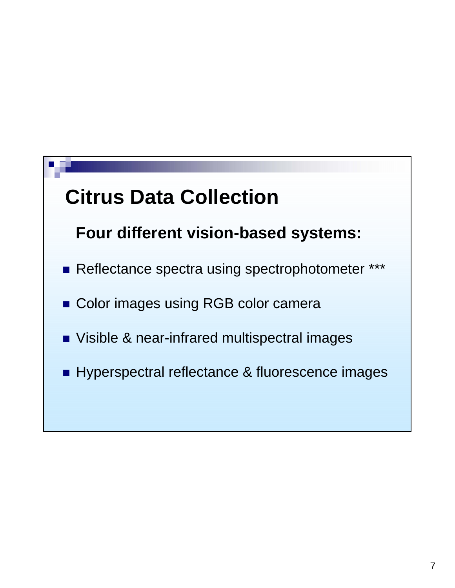## **Citrus Data Collection**

### **Four different vision-based systems:**

- Reflectance spectra using spectrophotometer \*\*\*
- Color images using RGB color camera
- Visible & near-infrared multispectral images
- Hyperspectral reflectance & fluorescence images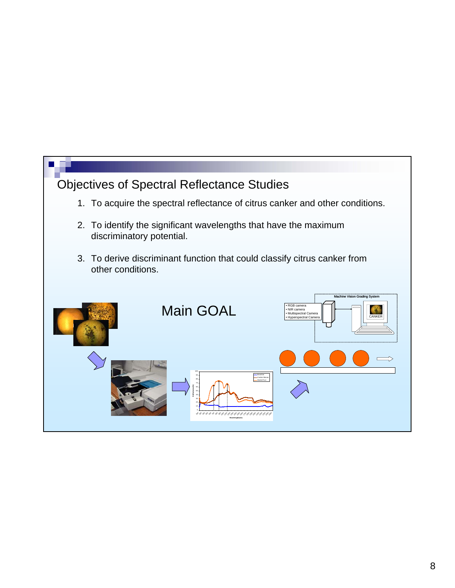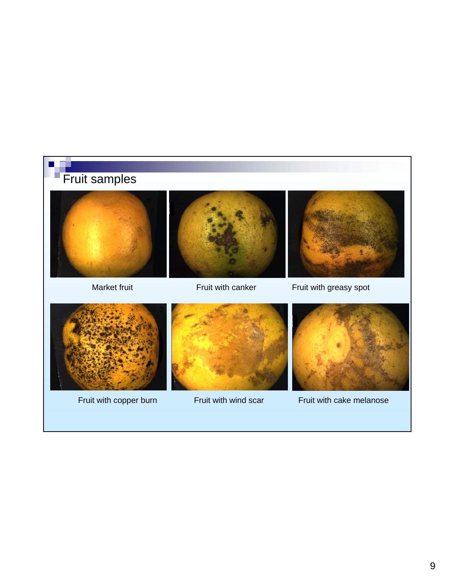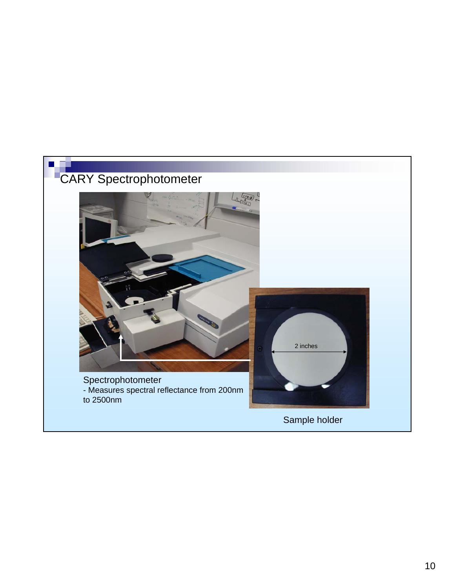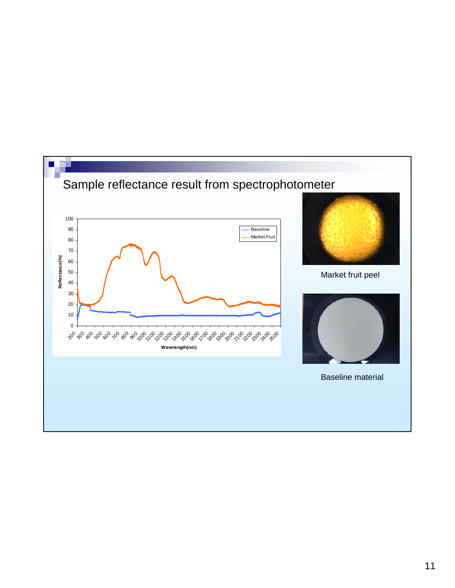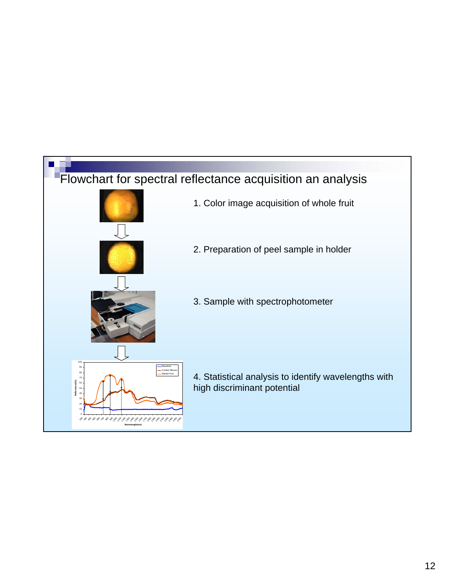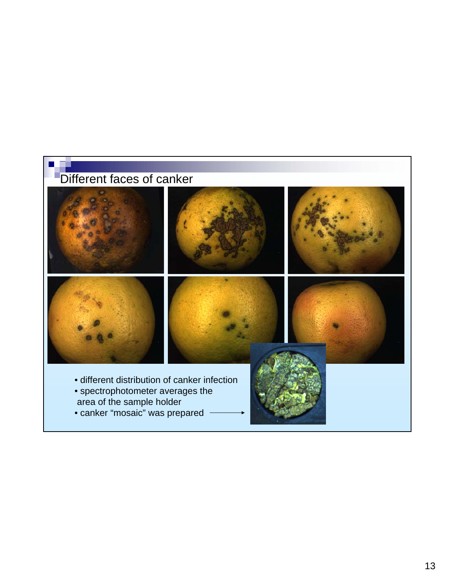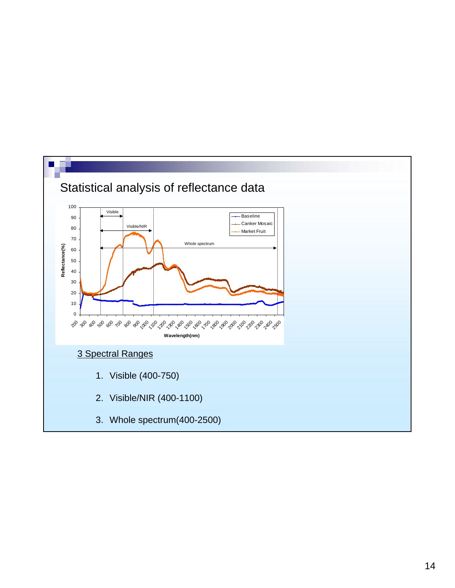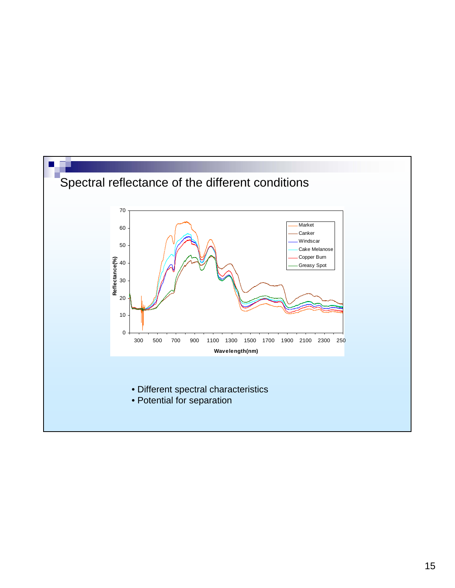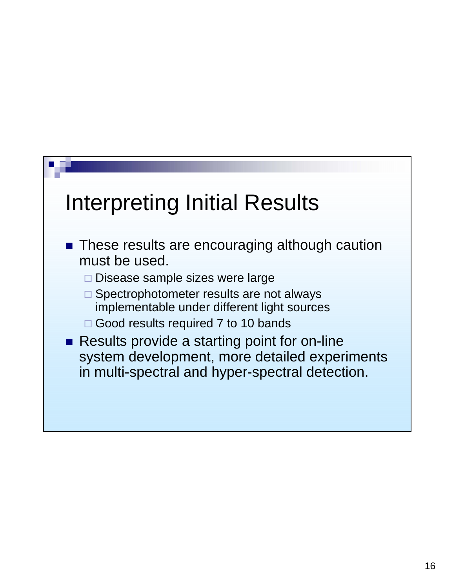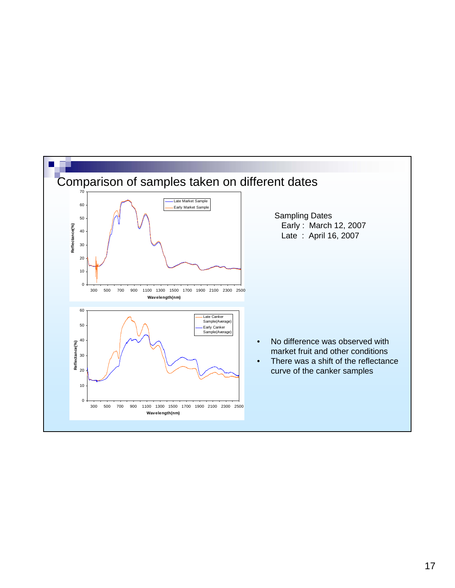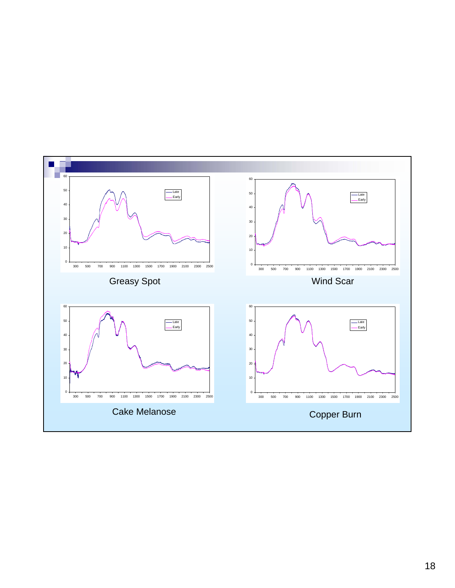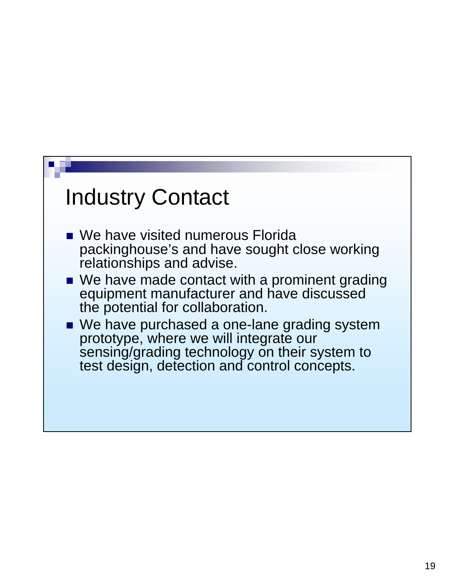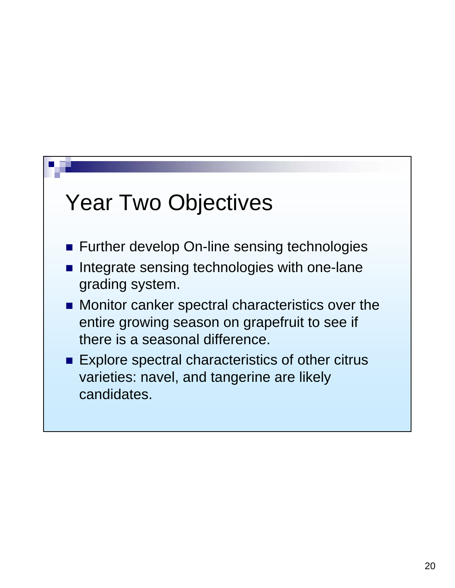